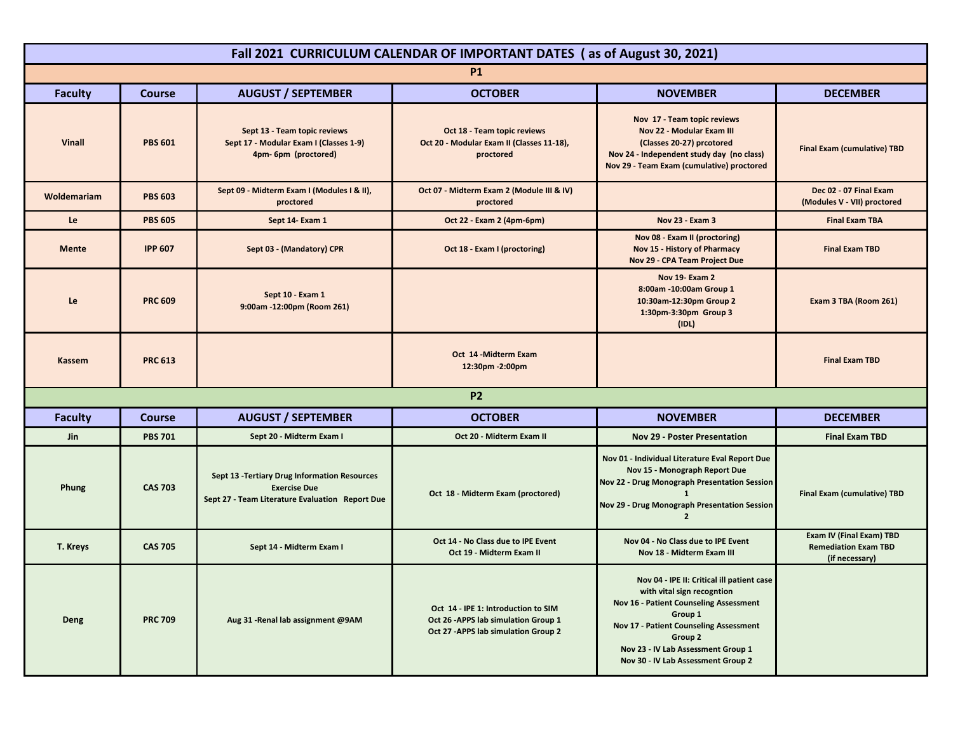| Fall 2021 CURRICULUM CALENDAR OF IMPORTANT DATES (as of August 30, 2021) |                |                                                                                                                         |                                                                                                                     |                                                                                                                                                                                                                                                                |                                                                           |  |  |  |  |
|--------------------------------------------------------------------------|----------------|-------------------------------------------------------------------------------------------------------------------------|---------------------------------------------------------------------------------------------------------------------|----------------------------------------------------------------------------------------------------------------------------------------------------------------------------------------------------------------------------------------------------------------|---------------------------------------------------------------------------|--|--|--|--|
| <b>P1</b>                                                                |                |                                                                                                                         |                                                                                                                     |                                                                                                                                                                                                                                                                |                                                                           |  |  |  |  |
| <b>Faculty</b>                                                           | <b>Course</b>  | <b>AUGUST / SEPTEMBER</b>                                                                                               | <b>OCTOBER</b>                                                                                                      | <b>NOVEMBER</b>                                                                                                                                                                                                                                                | <b>DECEMBER</b>                                                           |  |  |  |  |
| <b>Vinall</b>                                                            | <b>PBS 601</b> | Sept 13 - Team topic reviews<br>Sept 17 - Modular Exam I (Classes 1-9)<br>4pm- 6pm (proctored)                          | Oct 18 - Team topic reviews<br>Oct 20 - Modular Exam II (Classes 11-18),<br>proctored                               | Nov 17 - Team topic reviews<br>Nov 22 - Modular Exam III<br>(Classes 20-27) prcotored<br>Nov 24 - Independent study day (no class)<br>Nov 29 - Team Exam (cumulative) proctored                                                                                | <b>Final Exam (cumulative) TBD</b>                                        |  |  |  |  |
| Woldemariam                                                              | <b>PBS 603</b> | Sept 09 - Midterm Exam I (Modules I & II),<br>proctored                                                                 | Oct 07 - Midterm Exam 2 (Module III & IV)<br>proctored                                                              |                                                                                                                                                                                                                                                                | Dec 02 - 07 Final Exam<br>(Modules V - VII) proctored                     |  |  |  |  |
| <b>Le</b>                                                                | <b>PBS 605</b> | Sept 14- Exam 1                                                                                                         | Oct 22 - Exam 2 (4pm-6pm)                                                                                           | Nov 23 - Exam 3                                                                                                                                                                                                                                                | <b>Final Exam TBA</b>                                                     |  |  |  |  |
| <b>Mente</b>                                                             | <b>IPP 607</b> | Sept 03 - (Mandatory) CPR                                                                                               | Oct 18 - Exam I (proctoring)                                                                                        | Nov 08 - Exam II (proctoring)<br>Nov 15 - History of Pharmacy<br>Nov 29 - CPA Team Project Due                                                                                                                                                                 | <b>Final Exam TBD</b>                                                     |  |  |  |  |
| <b>Le</b>                                                                | <b>PRC 609</b> | Sept 10 - Exam 1<br>9:00am -12:00pm (Room 261)                                                                          |                                                                                                                     | Nov 19- Exam 2<br>8:00am -10:00am Group 1<br>10:30am-12:30pm Group 2<br>1:30pm-3:30pm Group 3<br>(IDL)                                                                                                                                                         | Exam 3 TBA (Room 261)                                                     |  |  |  |  |
| Kassem                                                                   | <b>PRC 613</b> |                                                                                                                         | Oct 14 - Midterm Exam<br>12:30pm - 2:00pm                                                                           |                                                                                                                                                                                                                                                                | <b>Final Exam TBD</b>                                                     |  |  |  |  |
| <b>P2</b>                                                                |                |                                                                                                                         |                                                                                                                     |                                                                                                                                                                                                                                                                |                                                                           |  |  |  |  |
| <b>Faculty</b>                                                           | <b>Course</b>  | <b>AUGUST / SEPTEMBER</b>                                                                                               | <b>OCTOBER</b>                                                                                                      | <b>NOVEMBER</b>                                                                                                                                                                                                                                                | <b>DECEMBER</b>                                                           |  |  |  |  |
| Jin                                                                      | <b>PBS 701</b> | Sept 20 - Midterm Exam I                                                                                                | Oct 20 - Midterm Exam II                                                                                            | <b>Nov 29 - Poster Presentation</b>                                                                                                                                                                                                                            | <b>Final Exam TBD</b>                                                     |  |  |  |  |
| Phung                                                                    | <b>CAS 703</b> | Sept 13 - Tertiary Drug Information Resources<br><b>Exercise Due</b><br>Sept 27 - Team Literature Evaluation Report Due | Oct 18 - Midterm Exam (proctored)                                                                                   | Nov 01 - Individual Literature Eval Report Due<br>Nov 15 - Monograph Report Due<br>Nov 22 - Drug Monograph Presentation Session<br>Nov 29 - Drug Monograph Presentation Session<br>$\overline{2}$                                                              | <b>Final Exam (cumulative) TBD</b>                                        |  |  |  |  |
| T. Kreys                                                                 | <b>CAS 705</b> | Sept 14 - Midterm Exam I                                                                                                | Oct 14 - No Class due to IPE Event<br>Oct 19 - Midterm Exam II                                                      | Nov 04 - No Class due to IPE Event<br>Nov 18 - Midterm Exam III                                                                                                                                                                                                | Exam IV (Final Exam) TBD<br><b>Remediation Exam TBD</b><br>(if necessary) |  |  |  |  |
| Deng                                                                     | <b>PRC 709</b> | Aug 31 - Renal lab assignment @9AM                                                                                      | Oct 14 - IPE 1: Introduction to SIM<br>Oct 26 - APPS lab simulation Group 1<br>Oct 27 - APPS lab simulation Group 2 | Nov 04 - IPE II: Critical ill patient case<br>with vital sign recogntion<br>Nov 16 - Patient Counseling Assessment<br>Group 1<br>Nov 17 - Patient Counseling Assessment<br>Group 2<br>Nov 23 - IV Lab Assessment Group 1<br>Nov 30 - IV Lab Assessment Group 2 |                                                                           |  |  |  |  |